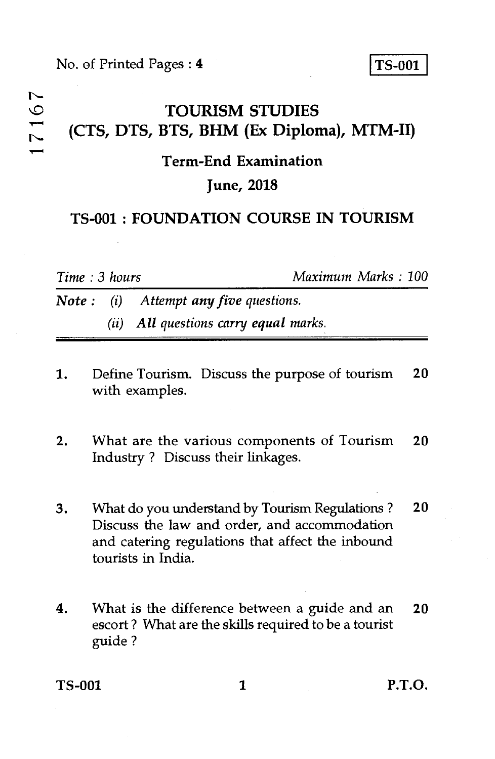# **TOURISM STUDIES**  <sup>L</sup><br>
CTS, DTS, BTS, BHM (Ex Diploma), MTM-II)

#### **Term-End Examination**

#### **June, 2018**

### **TS-001 : FOUNDATION COURSE IN TOURISM**

*Time : 3 hours Maximum Marks : 100* 

*Note* : (*i*) Attempt any five questions. *(ii) All questions carry equal marks.* 

- 1. Define Tourism. Discuss the purpose of tourism **20**  with examples.
- 2. What are the various components of Tourism **20**  Industry ? Discuss their linkages.
- 3. What do you understand by Tourism Regulations ? **20**  Discuss the law and order, and accommodation and catering regulations that affect the inbound tourists in India.
- 4. What is the difference between a guide and an **20**  escort ? What are the skills required to be a tourist guide ?

**TS-001 1 P.T.O.**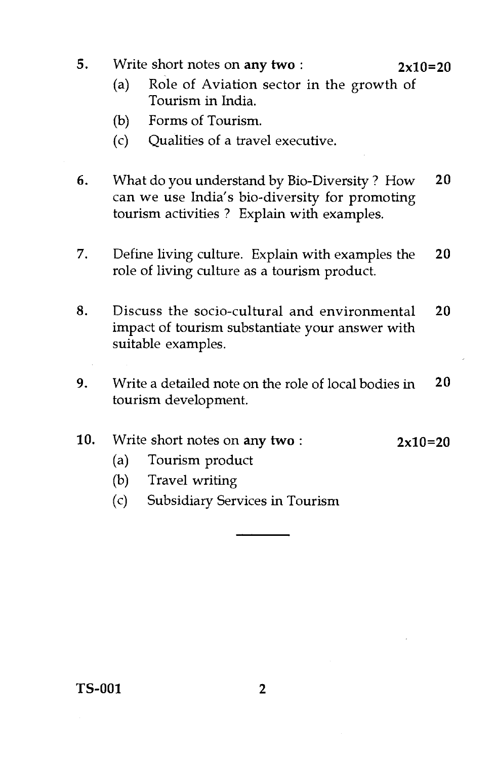**5.** Write short notes on any **two : 2x10=20** 

- (a) Role of Aviation sector in the growth of Tourism in India.
- (b) Forms of Tourism.
- (c) Qualities of a travel executive.
- **6.** What do you understand by Bio-Diversity ? How **20**  can we use India's bio-diversity for promoting tourism activities ? Explain with examples.
- 7. Define living culture. Explain with examples the **20**  role of living culture as a tourism product.
- 8. Discuss the socio-cultural and environmental **20**  impact of tourism substantiate your answer with suitable examples.
- **9.** Write a detailed note on the role of local bodies in **20**  tourism development.

#### **10.** Write short notes on **any two : 2x10=20**

- (a) Tourism product
- (b) Travel writing
- (c) Subsidiary Services in Tourism

**TS-001 2**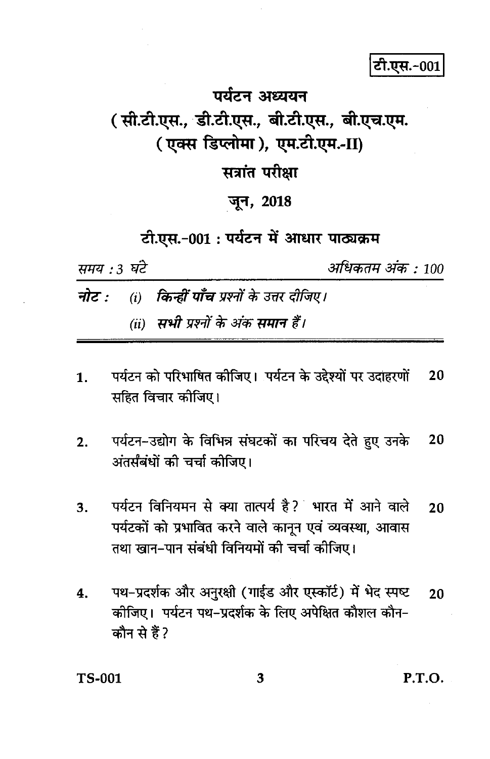टी.एस.-001

# पर्यटन अध्ययन ( सी.टी.एस., डी.टी.एस., बी.टी.एस., बी.एच.एम. (एक्स डिप्लोमा), एम.टी.एम.-II)

# सत्रांत परीक्षा

## जून, 2018

# टी.एस.-001: पर्यटन में आधार पाठ्यक्रम

समय : 3 घंटे

अधिकतम अंक : 100

- किन्हीं पाँच प्रश्नों के उत्तर दीजिए। नोट :  $(i)$ 
	- (ii) सभी प्रश्नों के अंक समान हैं।
- पर्यटन को परिभाषित कीजिए। पर्यटन के उद्देश्यों पर उदाहरणों 20 1. सहित विचार कीजिए।
- पर्यटन-उद्योग के विभिन्न संघटकों का परिचय देते हुए उनके 20  $2.$ अंतर्संबंधों की चर्चा कोजिए।
- पर्यटन विनियमन से क्या तात्पर्य है? भारत में आने वाले 3. 20 पर्यटकों को प्रभावित करने वाले कानून एवं व्यवस्था, आवास तथा खान–पान संबंधी विनियमों की चर्चा कीजिए।
- पथ-प्रदर्शक और अनुरक्षी (गाईड और एस्कॉर्ट) में भेद स्पष्ट  $4.$ 20 कीजिए। पर्यटन पथ-प्रदर्शक के लिए अपेक्षित कौशल कौन-कौन से हैं?

**TS-001** 

3

P.T.O.